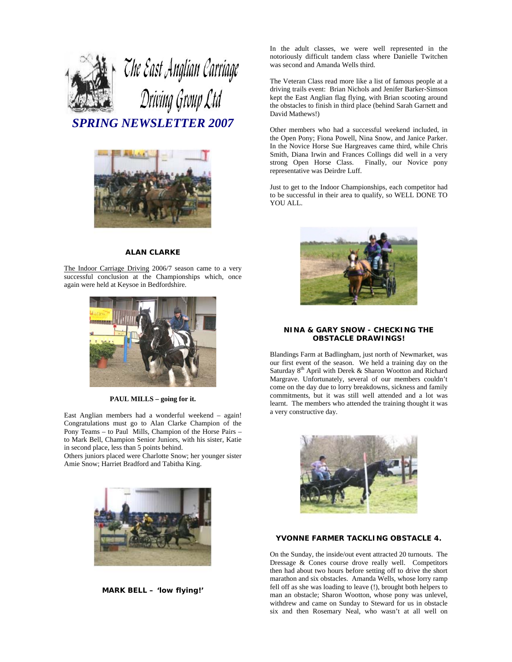



#### **ALAN CLARKE**

The Indoor Carriage Driving 2006/7 season came to a very successful conclusion at the Championships which, once again were held at Keysoe in Bedfordshire.



**PAUL MILLS – going for it.** 

East Anglian members had a wonderful weekend – again! Congratulations must go to Alan Clarke Champion of the Pony Teams – to Paul Mills, Champion of the Horse Pairs – to Mark Bell, Champion Senior Juniors, with his sister, Katie in second place, less than 5 points behind.

Others juniors placed were Charlotte Snow; her younger sister Amie Snow; Harriet Bradford and Tabitha King.



**MARK BELL – 'low flying!'** 

In the adult classes, we were well represented in the notoriously difficult tandem class where Danielle Twitchen was second and Amanda Wells third.

The Veteran Class read more like a list of famous people at a driving trails event: Brian Nichols and Jenifer Barker-Simson kept the East Anglian flag flying, with Brian scooting around the obstacles to finish in third place (behind Sarah Garnett and David Mathews!)

Other members who had a successful weekend included, in the Open Pony; Fiona Powell, Nina Snow, and Janice Parker. In the Novice Horse Sue Hargreaves came third, while Chris Smith, Diana Irwin and Frances Collings did well in a very strong Open Horse Class. Finally, our Novice pony representative was Deirdre Luff.

Just to get to the Indoor Championships, each competitor had to be successful in their area to qualify, so WELL DONE TO YOU ALL.



#### **NINA & GARY SNOW - CHECKING THE OBSTACLE DRAWINGS!**

Blandings Farm at Badlingham, just north of Newmarket, was our first event of the season. We held a training day on the Saturday 8<sup>th</sup> April with Derek & Sharon Wootton and Richard Margrave. Unfortunately, several of our members couldn't come on the day due to lorry breakdowns, sickness and family commitments, but it was still well attended and a lot was learnt. The members who attended the training thought it was a very constructive day.



#### **YVONNE FARMER TACKLING OBSTACLE 4.**

On the Sunday, the inside/out event attracted 20 turnouts. The Dressage & Cones course drove really well. Competitors then had about two hours before setting off to drive the short marathon and six obstacles. Amanda Wells, whose lorry ramp fell off as she was loading to leave (!), brought both helpers to man an obstacle; Sharon Wootton, whose pony was unlevel, withdrew and came on Sunday to Steward for us in obstacle six and then Rosemary Neal, who wasn't at all well on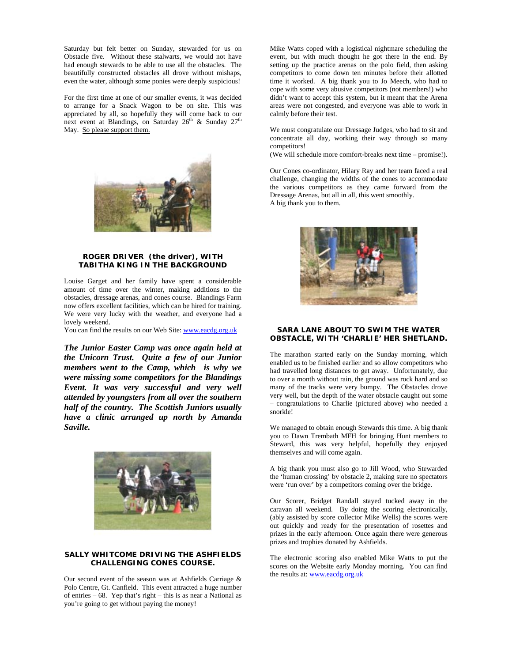Saturday but felt better on Sunday, stewarded for us on Obstacle five. Without these stalwarts, we would not have had enough stewards to be able to use all the obstacles. The beautifully constructed obstacles all drove without mishaps, even the water, although some ponies were deeply suspicious!

For the first time at one of our smaller events, it was decided to arrange for a Snack Wagon to be on site. This was appreciated by all, so hopefully they will come back to our next event at Blandings, on Saturday  $26<sup>th</sup>$  & Sunday  $27<sup>th</sup>$ May. So please support them.



#### **ROGER DRIVER (the driver), WITH TABITHA KING IN THE BACKGROUND**

Louise Garget and her family have spent a considerable amount of time over the winter, making additions to the obstacles, dressage arenas, and cones course. Blandings Farm now offers excellent facilities, which can be hired for training. We were very lucky with the weather, and everyone had a lovely weekend.

You can find the results on our Web Site: www.eacdg.org.uk

*The Junior Easter Camp was once again held at the Unicorn Trust. Quite a few of our Junior members went to the Camp, which is why we were missing some competitors for the Blandings Event. It was very successful and very well attended by youngsters from all over the southern half of the country. The Scottish Juniors usually have a clinic arranged up north by Amanda Saville.*



#### **SALLY WHITCOME DRIVING THE ASHFIELDS CHALLENGING CONES COURSE.**

Our second event of the season was at Ashfields Carriage & Polo Centre, Gt. Canfield. This event attracted a huge number of entries – 68. Yep that's right – this is as near a National as you're going to get without paying the money!

Mike Watts coped with a logistical nightmare scheduling the event, but with much thought he got there in the end. By setting up the practice arenas on the polo field, then asking competitors to come down ten minutes before their allotted time it worked. A big thank you to Jo Meech, who had to cope with some very abusive competitors (not members!) who didn't want to accept this system, but it meant that the Arena areas were not congested, and everyone was able to work in calmly before their test.

We must congratulate our Dressage Judges, who had to sit and concentrate all day, working their way through so many competitors!

(We will schedule more comfort-breaks next time – promise!).

Our Cones co-ordinator, Hilary Ray and her team faced a real challenge, changing the widths of the cones to accommodate the various competitors as they came forward from the Dressage Arenas, but all in all, this went smoothly. A big thank you to them.



#### **SARA LANE ABOUT TO SWIM THE WATER OBSTACLE, WITH 'CHARLIE' HER SHETLAND.**

The marathon started early on the Sunday morning, which enabled us to be finished earlier and so allow competitors who had travelled long distances to get away. Unfortunately, due to over a month without rain, the ground was rock hard and so many of the tracks were very bumpy. The Obstacles drove very well, but the depth of the water obstacle caught out some – congratulations to Charlie (pictured above) who needed a snorkle!

We managed to obtain enough Stewards this time. A big thank you to Dawn Trembath MFH for bringing Hunt members to Steward, this was very helpful, hopefully they enjoyed themselves and will come again.

A big thank you must also go to Jill Wood, who Stewarded the 'human crossing' by obstacle 2, making sure no spectators were 'run over' by a competitors coming over the bridge.

Our Scorer, Bridget Randall stayed tucked away in the caravan all weekend. By doing the scoring electronically, (ably assisted by score collector Mike Wells) the scores were out quickly and ready for the presentation of rosettes and prizes in the early afternoon. Once again there were generous prizes and trophies donated by Ashfields.

The electronic scoring also enabled Mike Watts to put the scores on the Website early Monday morning. You can find the results at: www.eacdg.org.uk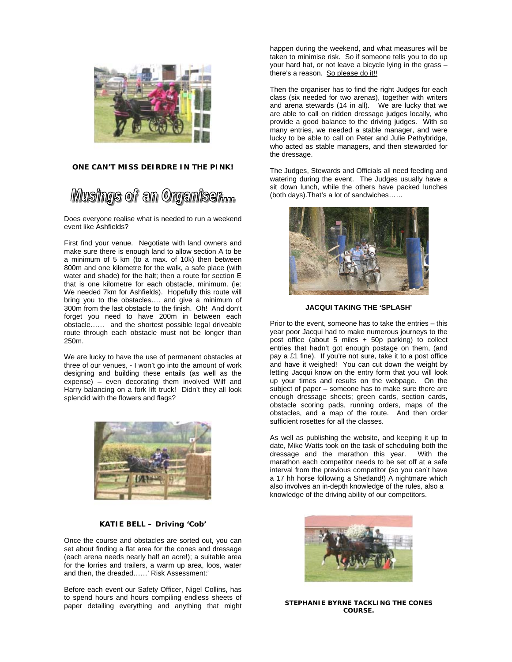

#### **ONE CAN'T MISS DEIRDRE IN THE PINK!**

## Musings of an Organiser....

Does everyone realise what is needed to run a weekend event like Ashfields?

First find your venue. Negotiate with land owners and make sure there is enough land to allow section A to be a minimum of 5 km (to a max. of 10k) then between 800m and one kilometre for the walk, a safe place (with water and shade) for the halt; then a route for section E that is one kilometre for each obstacle, minimum. (ie: We needed 7km for Ashfields). Hopefully this route will bring you to the obstacles…. and give a minimum of 300m from the last obstacle to the finish. Oh! And don't forget you need to have 200m in between each obstacle…… and the shortest possible legal driveable route through each obstacle must not be longer than 250m.

We are lucky to have the use of permanent obstacles at three of our venues, - I won't go into the amount of work designing and building these entails (as well as the expense) – even decorating them involved Wilf and Harry balancing on a fork lift truck! Didn't they all look splendid with the flowers and flags?



#### **KATIE BELL – Driving 'Cob'**

Once the course and obstacles are sorted out, you can set about finding a flat area for the cones and dressage (each arena needs nearly half an acre!); a suitable area for the lorries and trailers, a warm up area, loos, water and then, the dreaded……' Risk Assessment:'

Before each event our Safety Officer, Nigel Collins, has to spend hours and hours compiling endless sheets of paper detailing everything and anything that might happen during the weekend, and what measures will be taken to minimise risk. So if someone tells you to do up your hard hat, or not leave a bicycle lying in the grass – there's a reason. So please do it!!

Then the organiser has to find the right Judges for each class (six needed for two arenas), together with writers and arena stewards (14 in all). We are lucky that we are able to call on ridden dressage judges locally, who provide a good balance to the driving judges. With so many entries, we needed a stable manager, and were lucky to be able to call on Peter and Julie Pethybridge, who acted as stable managers, and then stewarded for the dressage.

The Judges, Stewards and Officials all need feeding and watering during the event. The Judges usually have a sit down lunch, while the others have packed lunches (both days).That's a lot of sandwiches……



**JACQUI TAKING THE 'SPLASH'** 

Prior to the event, someone has to take the entries – this year poor Jacqui had to make numerous journeys to the post office (about 5 miles + 50p parking) to collect entries that hadn't got enough postage on them, (and pay a £1 fine). If you're not sure, take it to a post office and have it weighed! You can cut down the weight by letting Jacqui know on the entry form that you will look up your times and results on the webpage. On the subject of paper – someone has to make sure there are enough dressage sheets; green cards, section cards, obstacle scoring pads, running orders, maps of the obstacles, and a map of the route. And then order sufficient rosettes for all the classes.

As well as publishing the website, and keeping it up to date, Mike Watts took on the task of scheduling both the dressage and the marathon this year. With the marathon each competitor needs to be set off at a safe interval from the previous competitor (so you can't have a 17 hh horse following a Shetland!) A nightmare which also involves an in-depth knowledge of the rules, also a knowledge of the driving ability of our competitors.



**STEPHANIE BYRNE TACKLING THE CONES COURSE.**